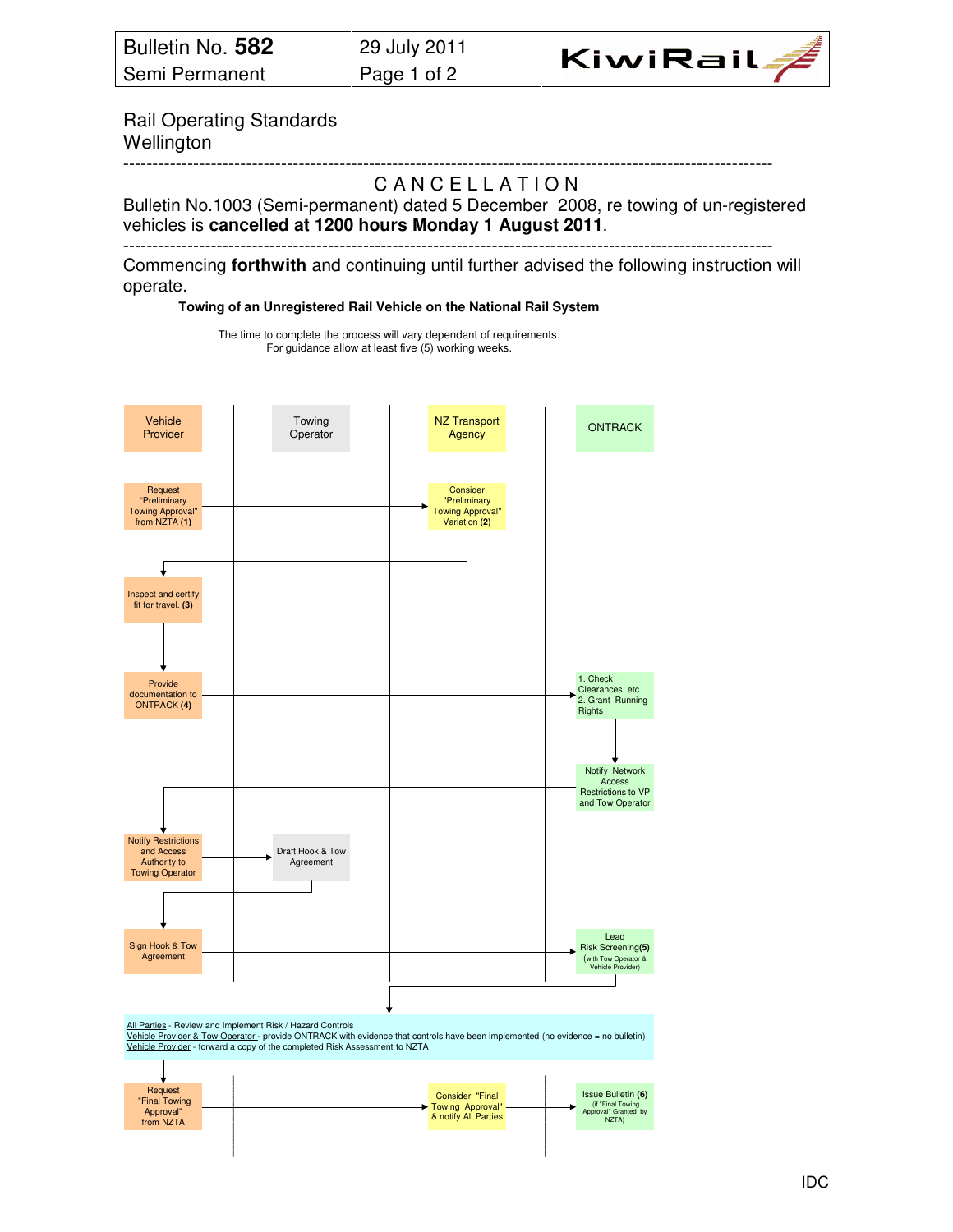

Rail Operating Standards Wellington

#### --------------------------------------------------------------------------------------------------------------- CANCELLATION

Bulletin No.1003 (Semi-permanent) dated 5 December 2008, re towing of un-registered vehicles is **cancelled at 1200 hours Monday 1 August 2011**.

---------------------------------------------------------------------------------------------------------------

Commencing **forthwith** and continuing until further advised the following instruction will operate.

**Towing of an Unregistered Rail Vehicle on the National Rail System**

The time to complete the process will vary dependant of requirements. For guidance allow at least five (5) working weeks.



| Request<br>"Final Towing<br>Approval"<br>from NZTA |  |  | Consider "Final<br>Towing Approval"<br>& notify All Parties |  | Issue Bulletin (6)<br>(if "Final Towing<br>Approval" Granted by<br>NZTA) |
|----------------------------------------------------|--|--|-------------------------------------------------------------|--|--------------------------------------------------------------------------|
|                                                    |  |  |                                                             |  |                                                                          |